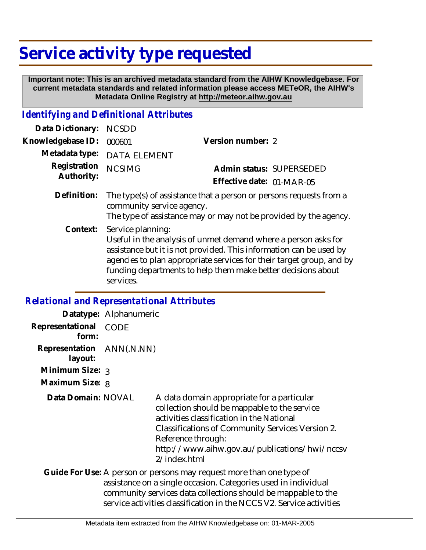# **Service activity type requested**

 **Important note: This is an archived metadata standard from the AIHW Knowledgebase. For current metadata standards and related information please access METeOR, the AIHW's Metadata Online Registry at http://meteor.aihw.gov.au**

# *Identifying and Definitional Attributes*

| Data Dictionary:           | <b>NCSDD</b>                                                                                                                                                        |                                                                                                                                                                                                                                                                              |
|----------------------------|---------------------------------------------------------------------------------------------------------------------------------------------------------------------|------------------------------------------------------------------------------------------------------------------------------------------------------------------------------------------------------------------------------------------------------------------------------|
| Knowledgebase ID:          | 000601                                                                                                                                                              | Version number: 2                                                                                                                                                                                                                                                            |
| Metadata type:             | <b>DATA ELEMENT</b>                                                                                                                                                 |                                                                                                                                                                                                                                                                              |
| Registration<br>Authority: | <b>NCSIMG</b>                                                                                                                                                       | Admin status: SUPERSEDED                                                                                                                                                                                                                                                     |
|                            |                                                                                                                                                                     | Effective date: 01-MAR-05                                                                                                                                                                                                                                                    |
| Definition:                | The type(s) of assistance that a person or persons requests from a<br>community service agency.<br>The type of assistance may or may not be provided by the agency. |                                                                                                                                                                                                                                                                              |
| Context:                   | Service planning:<br>services.                                                                                                                                      | Useful in the analysis of unmet demand where a person asks for<br>assistance but it is not provided. This information can be used by<br>agencies to plan appropriate services for their target group, and by<br>funding departments to help them make better decisions about |

#### *Relational and Representational Attributes*

|                                      | Datatype: Alphanumeric |                                                                                                                                                                                                                                                                                    |
|--------------------------------------|------------------------|------------------------------------------------------------------------------------------------------------------------------------------------------------------------------------------------------------------------------------------------------------------------------------|
| Representational<br>form:            | CODE                   |                                                                                                                                                                                                                                                                                    |
| Representation ANN(.N.NN)<br>layout: |                        |                                                                                                                                                                                                                                                                                    |
| Minimum Size: 3                      |                        |                                                                                                                                                                                                                                                                                    |
| Maximum Size: 8                      |                        |                                                                                                                                                                                                                                                                                    |
| Data Domain: NOVAL                   |                        | A data domain appropriate for a particular<br>collection should be mappable to the service<br>activities classification in the National<br>Classifications of Community Services Version 2.<br>Reference through:<br>http://www.aihw.gov.au/publications/hwi/nccsv<br>2/index.html |
|                                      |                        | Guide For Use: A person or persons may request more than one type of<br>assistance on a single occasion. Categories used in individual<br>community services data collections should be mappable to the<br>service activities classification in the NCCS V2. Service activities    |